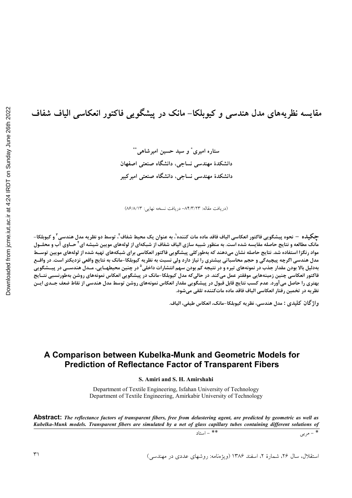مقايسه نظريههاي مدل هندسي و كيوبلكا– مانك در پيشگويي فاكتور انعكاسي الياف شفاف ستاره امیری ْ و سید حسین امیرشاهی ْ ْ

> دانشکدهٔ مهندسی نساجی، دانشگاه صنعتی اصفهان دانشکدهٔ مهندسی نساجی، دانشگاه صنعتی امیر کبیر

(دريافت مقاله: ٨۴/٣/٢٣- دريافت نسخه نهايي: ٨۶/٨/١٣)

حکیلاه — نحوه پیشگویی فاکتور انعکاسی الیاف فاقد ماده مات کننده'، به عنوان یک محیط شفاف<sup>۲</sup>، توسط دو نظریه مدل هندسی ۲ و کیوبلکا– مانک مطالعه و نتایج حاصله مقایسه شده است. به منظور شبیه سازی الیاف شفاف از شبکهای از لولههای مویین شیشه ای<sup>۴</sup> حــاوی آب و محلــول مواد رنگزا استفاده شد. نتایج حاصله نشان میدهند که بهطورکلی پیشگویی فاکتور انعکاسی برای شبکههای تهیه شده از لولههای مویین توسـط مدل هندسی اگرچه پیچیدگی و حجم محاسباتی بیشتری را نیاز دارد ولی نسبت به نظریه کیوبلکا-مانک به نتایج واقعی نزدیکتر است. در واقـع بهدلیل بالا بودن مقدار جذب در نمونههای تیره و در نتیجه کم بودن سهم انتشارات داخلی<sup>۵</sup> در چنین محیطهــایی، مــدل هندســی در پیــشگویی فاکتور انعکاسی چنین زمینههایی موفقتر عمل میکند. در حالیکه مدل کیوبلکا-مانک در پیشگویی انعکاس نمونههای روشن بهطورنسبی نتـایج بهتری را حاصل میآورد. عدم کسب نتایج قابل قبول در پیشگویی مقدار انعکاس نمونههای روشن توسط مدل هندسی از نقاط ضعف جــدی ایــن نظريه در تخمين رفتار انعكاسي الياف فاقد ماده ماتكننده تلقى مىشود.

واژ گان كليدي : مدل هندسي، نظريه كيوبلكا-مانك، انعكاس طيفي، الياف.

## A Comparison between Kubelka-Munk and Geometric Models for **Prediction of Reflectance Factor of Transparent Fibers**

#### S. Amiri and S. H. Amirshahi

Department of Textile Engineering, Isfahan University of Technology Department of Textile Engineering, Amirkabir University of Technology

**Abstract:** The reflectance factors of transparent fibers, free from delustering agent, are predicted by geometric as well as Kubelka-Munk models. Transparent fibers are simulated by a net of glass capillary tubes containing different solutions of  $\overline{\ast}$  = مربی

 $\sqrt{1-x} =$ \*\*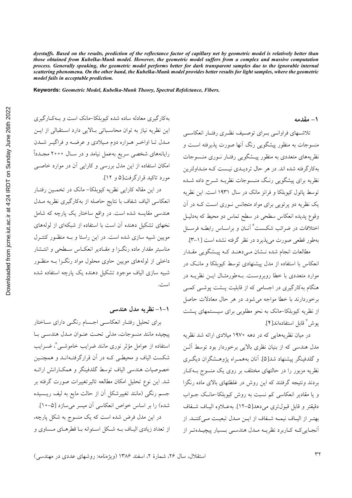*dyestuffs. Based on the results, prediction of the reflectance factor of capillary net by geometric model is relatively better than those obtained from Kubelka-Munk model. However, the geometric model suffers from a complex and massive computation process. Generally speaking, the geometric model performs better for dark transparent samples due to the ignorable internal scattering phenomena. On the other hand, the Kubelka-Munk model provides better results for light samples, where the geometric model fails in acceptable prediction.* 

**Keywords:** *Geometric Model, Kubelka-Munk Theory, Spectral Refelctance, Fibers.* 

به کارگیری معادله ساده شده کیوبلکا-مانک است و بـهکارگیری این نظریه نیاز به توان محاسباتی بالایی دارد استقبالی از ایـن مـدل تـا اواخـر هــزاره دوم مـيلادي و عرضـه و فراگيــر شــدن رایانههای شخصی سریع بهعمل نیامد و در ســال ۲۰۰۰ مجــددا امکان استفاده از این مدل بررس<sub>ی</sub> و کارایی ان در موارد خاصــی مورد تاکید قرارگرفت[۵ و ۱۲].

در این مقاله کارایی نظریه کیوبلکا– مانک در تخمــین رفتـار انعکاسی الیاف شفاف با نتایج حاصله از بهکارگیری نظریه مــدل هندسی مقایسه شده است. در واقع ساختار یک پارچه که شامل نخهای تشکیل دهنده آن است با استفاده از شبکهای از لولههای مویین شبیه سازی شده است. در این راستا و بــه منظـور کنتــرل مناسبتر مقدار ماده رنگـزا و مقـادير انعكــاس ســطحى و انتــشار داخلی از لولههای مویین حاوی محلول مواد رنگــزا بــه منظــور شبیه سازی الیاف موجود تشکیل دهنده یک پارچه استفاده شده است.

### **۱–۱– نظریه مدل هندسی**

برای تحلیل رفتـار انعکاسـی اجـسام رنگــی دارای ســاختار پیچیده مانند منسوجات، مدلی تحـت عنــوان مــدل هندســی بــا استفاده از عوامل مؤثر نوری مانند ضرایب خاموشــی^، ضــرایب شکست الیاف و محیطـی کـه در آن قرارگرفتـهانــد و همچنــین خصوصيات هندسي الياف توسط گلدفينگر و همكـارانش ارائـه شد. این نوع تحلیل امکان مطالعه تاثیرتغییرات صورت گرفته بر جسم رنگی (مانند تغییرشکل آن از حالت مایع به لیف ریـسیده شده) را بر اساس خواص انعکاسی آن میسر میسازد [۵-۱۰]. در این مدل فرض شده است که یک منسوج به شکل پارچه، از تعداد زیادی الیـاف بـه شـكل اسـتوانه بـا قطرهـای مـساوی و **1- مقدمه** 

تلاشسهای فراوانسی بسرای توصیف نظیری رفتبار انعکاسی منسوجات به منظور پیشگویی رنگ آنها صورت پذیرفته اســت و نظریههای متعددی به منظور پیــشگویی رفتـار نــوری منــسوجات بهکارگرفته شده اند. در هر حال تردیــدی نیــست کــه متــداولترین نظریه برای پیشگویی رنگ منـسوجات نظریــه شــرح داده شــده توسط پائول کیوبلکا و فرانز مانک در سال ۱۹۳۱ است. این نظریه یک نظریه دو پرتویی برای مواد متجانس نوری است کـه در آن وقوع پدیده انعکاس سطحی در سطح تماس دو محیط که بهدلیــل اختلافات در ضرائب شکــست<sup>۶</sup> آنــان و براســاس رابطــه فرســنل بهطور قطعي صورت مي پذيرد در نظر گرفته نشده است [١-٣]. مطالعات انجام شده نـشان مـی۵هنـد کـه پیـشگویی مقـدار انعکاس با استفاده از مدل پیشنهادی توسط کیوبلکا و مانــک در موارد متعددی با خطا روبروسـت. بــهطورمثــال ایــن نظریــه در

هنگام بهکارگیری در اجسامی که از قابلیت پیشت پوشبی کمبی برخوردارند با خطا مواجه میشود. در هر حال معادلات حاصل از نظریه کیوبلکا-مانک به نحو مطلوبی برای سیستمهای پشت يوش<sup>\</sup> قابل استفادهاند[۴].

در میان نظریههایی که در دهه ۱۹۷۰ میلادی ارائه شد نظریه مدل هندسی که از بنیان نظری بالایی برخوردار بود توسط الــن و گلدفینگر پیشنهاد شد[۵]. أنان بههمـراه یژوهـشگران دیگـری نظریه مزبور را در حالتهای مختلف بر روی یک منسوج بـهکـار بردند ونتيجه گرفتند كه اين روش در غلظتهاى بالاى ماده رنگزا و یا مقادیر انعکاسی کم نسبت به روش کیوبلکا-مانک جـواب دقيقتر و قابل قبولترى مىدهد[۵–۱۲]. بەعــلاوه اليــاف شــفاف بهتـر از اليــاف نيمــه شــفاف از ايــن مــدل تبعيــت مــىكننــد. از انجـاییکـه کـاربرد نظریــه مـدل هندســی بــسیار پیچیــدهتــر از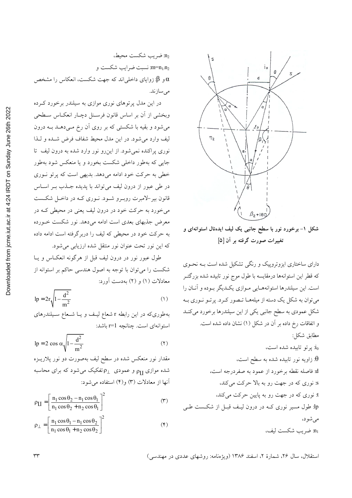

شکل ۱- برخورد نور با سطح جانبی یک لیف ایدهئال استوانهای و تغییرات صورت گرفته بر آن [۵]

دارای ساختاری ایزوتروپیک و رنگی تشکیل شده است بـه نحـوی که قطر این استوانهها درمقایسه با طول موج نور تابیده شده بزرگتــر است. این سیلندرها استوانههـایی مـوازی یکـدیگر بـوده و آنــان را میتوان به شکل یک دسته از میلههـا تـصور کـرد. پرتـو نـوری بـه شکل عمودی به سطح جانبی یکی از این سیلندرها برخورد میکنـد و اتفاقات رخ داده بر آن در شکل (۱) نشان داده شده است. مطابق شكل:  $i_0$ : پرتو تابیده شده است، زاویه نور تابیده شده به سطح است،  $\theta$ d: فاصله نقطه برخورد از عمود به صفردرجه است، s: نوری که در جهت رو به بالا حرکت میکند، t: نوری که در جهت رو به پایین حرکت میکند، lp: طول مسیر نوری کــه در درون لیـف قبــل از شکــست طــی مې شو د، شريب شكست ليف،  $n_1$ 

 $n_2$  شریب شکست محیط، نسبت ضرايب شكست و m=n<sub>1/</sub>n<sub>2</sub> و §: زوایای داخلی¦ند که جهت شکست، انعکاس را مشخص مىسازند.

در این مدل پرتوهای نوری موازی به سیلندر برخورد کـرده وبخشی از آن بر اساس قانون فرسـنل دچـار انعکـاس سـطحی میشود و بقیه با شکستی که بر روی آن رخ مـیدهــد بــه درون ليف وارد مي شود. در اين مدل محيط شفاف فرض شـده و لـذا نوری پراکنده نمی شود. از این رو نور وارد شده به درون لیف تا جایی که بهطور داخلی شکست بخورد و یا منعکس شود بهطور خطی به حرکت خود ادامه میدهد. بدیهی است که پرتو نوری در طي عبور از درون ليف مي تواند با پديده جـذب بـر اسـاس قانون بیر-لامبرت روبـرو شـود. نــوری کــه در داخــل شکــست می خورد به حرکت خود در درون لیف یعنی در محیطی کـه در معرض جذبهای بعدی است ادامه میدهد. نور شکست خــورده به حرکت خود در محیطی که لیف را دربرگرفته است ادامه داده که این نور تحت عنوان نور منتقل شده ارزیابی میشود.

طول عبور نور در درون ليف قبل از هرگونه انعكـاس و يـا شکست را می توان با توجه به اصول هندسی حاکم بر استوانه از معادلات (۱) و (۲) بهدست آورد:

$$
lp = 2r\sqrt{1 - \frac{d^2}{m^2}}
$$
 (1)

بهطوری که در این رابطه r شعاع لیـف و یـا شـعاع سـیلندرهای استوانهای است. چنانچه r=1 باشد:

$$
lp = 2 \cos \alpha \sqrt{1 - \frac{d^2}{m^2}}
$$
 (7)

مقدار نور منعکس شده در سطح لیف بهصورت دو نور پلاریــزه شده موازی <sub>PII</sub> و عمودی  $\rho_{\perp}$ تفکیک میشود که برای محاسبه آنها از معادلات (٣) و(۴) استفاده مي شود:

$$
\rho_{\text{II}} = \left[ \frac{n_1 \cos \theta_2 - n_1 \cos \theta_1}{n_1 \cos \theta_2 + n_2 \cos \theta_1} \right]^2 \tag{\text{(*)}}
$$

$$
\rho_{\perp} = \left[ \frac{n_1 \cos \theta_1 - n_1 \cos \theta_2}{n_1 \cos \theta_1 + n_2 \cos \theta_2} \right]^2 \tag{\text{(*)}}
$$

استقلال، سال ۲۶، شمارهٔ ۲، اسفند ۱۳۸۶ (ویژهنامه: روشهای عددی در مهندسی)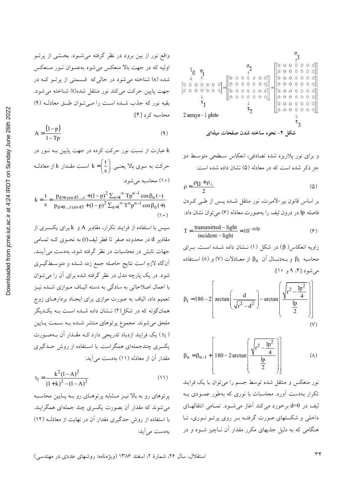واقع نور از بین برود در نظر گرفته می شـود. بخـشی از پرتـو اولیه که در جهت بالا منعکس می شود بهعنـوان نـور مـنعکس شده (s) شناخته می شود در حالی که قسمتی از پرتو که در جهت پایین حرکت می کند نور منتقل شده(t) شناخته می شود. بقيه نور كه جذب شده است را مى توان طبق معادلـه (٩) محاسبه كرد [۴]:

$$
A = \frac{(1-p)}{1-Tp}
$$
 (4)

k عبارت از نسبت نور حرکت کرده در جهت پایین بــه نــور در حرکت به سوی بالا یعنــی  $k = \left(\frac{t}{s}\right) 0$  اســت مقــدار  $k$  از معادلــه ( ۱۰) محاسبه میشود:

$$
k = \frac{t}{s} = \frac{p_{d=rcos45...r} + (1-p)^2 \sum_{n=1}^{\infty} Tp^{n-1} \cos \beta_n (-)}{p_{d=0...r\cos 45} + (1-p)^2 \sum_{n=1}^{\infty} T^n p^{n-1} \cos \beta_n (+)}
$$
\n(1°)

سپس با استفاده از فرایند تکرار، مقادیر A و k برای یکسری از مقادیر d در محدوده صفر تا قطر لیف(r) به نحـوی کــه تمـامی جهات تابش در محاسبات در نظر گرفته شود، بهدست می آینــد. آنگاه لازم است نتایج حاصله جمع زده شـده و متوسـطگیــری شود. در یک پارچه مدل در نظر گرفته شده برای ان را میتوان با اعمال اصلاحات<sub>ی</sub> به سادگ<sub>ی</sub> به دسته الیـاف مـوازی شــده نیــز تعمیم داد، الیاف به صورت موازی برای ایجـاد بردارهــای زوج همانگونه که در شکل(۲) نــشان داده شــده اســت بــه یکــدیگر ملحق می شوند. مجموع پرتوهای منتشر شـده بــه ســمت پــايين ( τ<sub>1</sub>) یک فرایند ازدیاد تدریجی دارد کـه مقـدار آن بـهصـورت یکسری چندجملهای همگراست. با استفاده از روش حـدگیری مقدار آن از معادله (١١) بهدست مي آيد:

$$
\tau_1 = \frac{k^2 (1 - A)^2}{(1 + k)^2 - (1 - A)^2} \tag{11}
$$

پرتوهای رو به بالا نیـز مـشابه پرتوهـای رو بـه پـایین محاسـبه می شوند که مقدار آن بصورت یکسری چند جملهای همگرایند. با استفاده از روش حدگیری مقدار ان در نهایت از معادلــه (۱۲) بهدست می آید:



" P4; VY4 W56 \*"s< M
> ; #32 :) "" RC (j) ("6 " G ) 3GÅ MD

$$
\rho = \frac{\rho_{\rm II} + \rho_{\perp}}{2} \tag{0}
$$

بر اساس قانون بیر-لامبرت، نور منتقل شــده پــس از طــی کــردن فاصله lp در درون ليف را بهصورت معادله (۶) مي توان نشان داد:

$$
T = \frac{\text{transmitted} - \text{light}}{\text{incident} - \text{light}} = 10^{-\text{cclp}} \tag{9}
$$

زاویه انعکاس( β) در شکل (۱) نـشان داده شـده اسـت. بـرای محاسبه  $\beta_1$  و بــهدنبــال أن  $\beta_1$  از معــادلات (۷) و (۸) اســتفاده می شود [۴، ۹ و ۱۰]:

$$
\beta_1 = 180 - 2 \left[ \arctan\left(\frac{d}{\sqrt{r^2 - d^2}}\right) - \arctan\left(\frac{\sqrt{r^2 - \frac{lp^2}{4}}}{\frac{lp}{2}}\right) \right] \tag{V}
$$

$$
\beta_{n} = \beta_{n-1} + \left[ 180 - 2 \arctan\left( \frac{\sqrt{r^{2} - \frac{lp^{2}}{4}}}{\frac{lp}{2}} \right) \right]
$$
 (A)

نور منعکس و منتقل شده توسط جسم را میتوان با یک فرایند تکرار بهدست آورد. محاسبات با نوری که بهطور عمـودی بـه ليف در d=0 برخورد مي كند أغاز مي شـود. تمـامي انتقالهـاي داخلی و شکستهای صورت گرفتـه بـر روی پرتـو نـوری، تـا هنگامی که به دلیل جذبهای مکرر مقدار آن نــاچیز شــود و در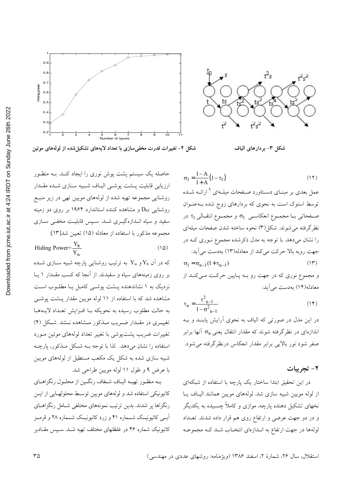



شکل ۳- بردارهای الیاف

$$
1-A_{1}
$$

 $\sigma_1 = \frac{1}{1+A} (1-\tau_1)$ عمل بعدی بر مبنــای دســتاورد صــفحات میلــهای <sup>۹</sup> ارائــه شــده توسط استوک است به نحوی که بردارهای زوج شده بـهعنـوان صفحاتی بـا مجمـوع انعکاسـی  $\sigma_1$  و مجمـوع انتقـالی  $\tau_1$  در نظرگرفته می شوند. شکل(۳) نحوه ساخته شدن صفحات میلهای را نشان میدهد. با توجه به مدل ذکرشده مجموع نوری ک در جهت روبه بالا حركت مي كند از معادله(١٣) بهدست مي آيد:  $(11)$  $\sigma_1 = \sigma_{n-1}(1 + \tau_{n-1})$ 

و مجموع نوري كه در جهت رو بــه پــايين حركــت مــيكنــد از معادله(۱۴) بهدست می آید:

$$
\tau_{n} = \frac{\tau_{n-1}^{2}}{1 - \sigma_{n-1}^{2}}
$$
 (1\*)

در این مدل در صورتی که الیاف به نحوی آرایش یابنــد و بــه اندازهای در نظرگرفته شوند که مقدار انتقال یعنی  $\sigma_{\rm n}$  آنها برابر صفر شود نور بالایی برابر مقدار انعکاس درنظرگرفته میشود.

#### ۲- تجربیات

 $(11)$ 

در این تحقیق ابتدا ساختار یک پارچه با استفاده از شبکهای از لوله مويين شبيه سازى شد. لولههاى مويين همانند الياف يا .<br>نخهای تشکیل دهنده پارچه، موازی و کاملاً چسبیده به یکدیگر و در دو جهت عرضی و ارتفاع روی هم قرار داده شدند. تعــداد لولهها در جهت ارتفاع به انـدازهاي انتخـاب شـد كـه مجموعـه

سله یک سیستم پشت پوش نوری را ایجاد کنــد. بــه منظــور ارزيابي قابليت پــشت پوشــي اليـاف شــبيه ســازي شــده مقــدار روشنایی مجموعه تهیه شده از لولههای مویین تهی در زیر منبـع روشنایی D<sub>65</sub> و مشاهده کننده استاندارد ۱۹۶۴ بر روی دو زمینه سفید و سیاه اندازهگیری شد. سپس قابلیت مخفی سازی مجموعه مذكور با استفاده از معادله (١۵) تعيين شد[١٣]:

Hiding Power=
$$
\frac{Y_b}{Y_w}
$$
 (10)

که در آن  $\rm Y_b$ و  $\rm Y_w$  به ترتیب روشنایی پارچه شبیه ســازی شــده بر روی زمینههای سیاه و سفیدند. از آنجا که کسب مقـدار ۱ پـا نزدیک به ۱ نشاندهنده پـشت پوشـی کامـل یـا مطلـوب اسـت مشاهده شد که با استفاده از ۱۱ لوله مویین مقدار پــشت پوشــی به حالت مطلوب رسیده به نحویکه بـا افـزایش تعـداد لایــههـا تغییری در مقـدار ضـریب مـذکور مـشاهده نـشد. شـکل (۴) تغییرات ضریب پشتµوشی با تغییر تعداد لولههای موئین مـورد استفاده را نشان میدهد. لذا با توجه بـه شـكل مـذكور، پارچـه شبیه سازی شده به شکل یک مکعب مستطیل از لولههای مویین با عرض ۹ و طول ۱۱ لوله مويين طراحي شد.

بـه منظـور تهيـه اليـاف شـفاف رنگـين از محلـول رنگزاهـاي کاتیونیکی استفاده شد و لولههای مویین توسط محلولهـایی از ایــن رنگزاها پر شدند. بدین ترتیب نمونههای مختلفی شـامل رنگزاهــای آبــی کاتیونیــک شـــماره ۴۱ و زرد کاتیونیــک شـــماره ۲۸ و قرمــز کاتیونیک شماره ۴۶ در غلظتهای مختلف تهیه شـد. سـپس مقـادیر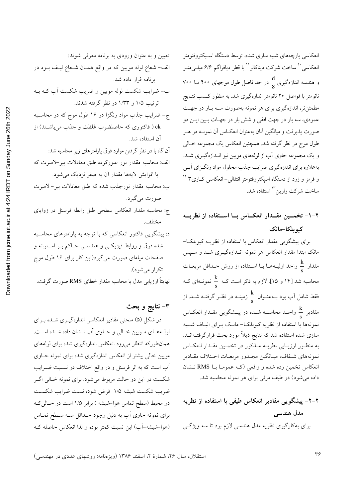انعکاسی پارچەهای شبیه سازی شده، توسط دستگاه اسـپکتروفتومتر انعکاسی ْ ْ ساخت شرکت دیتاکالر `` با قطر دیافراگم ۶/۶ میلـی متــر و هندسه اندازهگیری  $\frac{d}{8}$  در حد فاصل طول موجهای ۴۰۰ تــا ۷۰۰ .<br>نانومتر با فواصل ۲۰ نانومتر اندازهگیری شد. به منظور کــسب نتــایج مطمئن تر، اندازهگیری برای هر نمونه بهصورت سـه بـار در جهـت عمودي، سه بار در جهت افقي و شش بار در جهـات بـين ايــن دو صورت پذیرفت و میانگین آنان بهعنوان انعکـاس آن نمونــه در هــر طول موج در نظر گرفته شد. همچنین انعکاس یک مجموعه خـالی و یک مجموعه حاوی آب از لولههای مویین نیز انــدازهگیــری شــد. بهعلاوه برای اندازهگیری ضرایب جذب محلول مواد رنگـزای آبـی و قرمز و زرد از دستگاه اسپکتروفتومتر انتقال<sub>ی</sub>–انعکاس<sub>ی</sub> کــاری۳ <sup>۱۲</sup> ساخت شركت وارين<sup>۱۳</sup> استفاده شد.

۲-۱- تخمـین مقــدار انعکــاس بــا اســتفاده از نظریــه كبو بلكا-مانك

برای پیشگویی مقدار انعکاس با استفاده از نظریـه کیوبلکـا-.<br>مانک ابتدا مقدار انعکاس هر نمونه انــدازهگیــری شــد و ســپس مقدار ج $\frac{\mathbf{k}}{2}$  واحد اولیـههــا بــا اســتفاده از روش حــداقل مربعــات محاسبه شد [۱۴ و ۱۵]. لازم به ذکر است کـه  $\frac{k}{\pi}$  نمونـهای کـه فقط شامل آب بود بــهعنــوان  $\frac{k}{\rm c}$  زمینــه در نظــر گرفتــه شـــد. از مقادیر هم واحــد محاســبه شــده در پیــشگویی مقــدار انعکــاس نمونهها با استفاده از نظریه کیوبلکـا– مانـک بــرای الیــاف شــبیه سازی شده استفاده شد که نتایج ذیلاً مورد بحث قرارگرفتــهانــد. به منظـور ارزيـابي نظريــه مــذكور در تخمــين مقــدار انعكــاس نمونههاي شـفاف، ميـانگين مجـذور مربعـات اخـتلاف مقـادير انعکاس تخمین زده شده و واقعی (کـه عمومـا بــا RMS نـشان داده می شود) در طیف مرئی برای هر نمونه محاسبه شد.

# ۲–۲– پیشگویی مقادیر انعکاس طیفی با استفاده از نظریه مدل هندسی برای به کارگیری نظریه مدل هندسی لازم بود تا سه ویژگی

تعیین و به عنوان ورودی به برنامه معرفی شوند:

الف- شعاع لوله مويين كه در واقع همـان شـعاع ليـف بــود در

تکرار می شود). نهایتاً ارزیابی مدل با محاسبه مقدار خطای RMS صورت گرفت.

٣- نتايج و بحث

مختلف.

در شکل (۵) منحنی مقادیر انعکاسی اندازهگیـری شـده بـرای لولههای مویین خـالی و حـاوی آب نـشان داده شـده اسـت. همان طورکه انتظار میرود انعکاس اندازهگیری شده برای لولههای مویین خالی بیشتر از انعکاس اندازهگیری شده برای نمونه حـاوی آب است که به اثر فرسنل و در واقع اختلاف در نـسبت ضـرایب .<br>شکست در این دو حالت مربوط میشود. برای نمونه خـالی اگــر ضريب شكست شيشه ١/٥ فرض شود، نسبت ضرايب شكـست دو محیط (سطح تماس هوا–شیشه ) برابر ۱/۵ است در حـالی کـه برای نمونه حاوی آب به دلیل وجود حـداقل سـه سـطح تمـاس (هوا-شیشه-آب) این نسبت کمتر بوده و لذا انعکاس حاصله ک

Downloaded from jcme.iut.ac.ir at 4:24 IRDT on Sunday June 26th 2022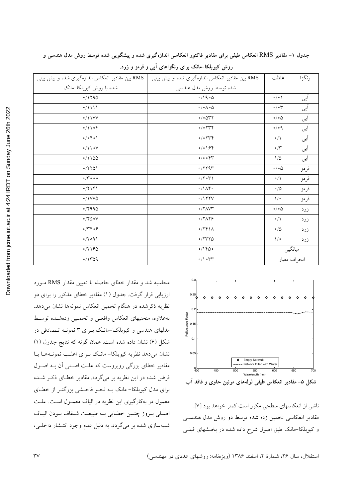| aded from jcme.iut.ac.ir at 4:24 IRDT on Sunday June 26th 2022 | RMS بین مقادیر انعکاس اندازهگیری شده و پیش بینی | مقادیر انعکاس اندازهگیری شده و پیش بینی         |
|----------------------------------------------------------------|-------------------------------------------------|-------------------------------------------------|
|                                                                | شده با روش کیوبلکا-مانک                         | شده توسط روش مدل هندسی                          |
|                                                                | 0/1790                                          | 0/190                                           |
|                                                                | 0/1111                                          | $\circ / \circ \wedge \circ \wedge$             |
|                                                                | 0/11VV                                          | $\circ/\circ \Delta \text{YY}$                  |
|                                                                | 0/11                                            | $0/0$ $\uparrow \uparrow \uparrow$              |
|                                                                | $0/0$ $6$ $0$                                   | $\circ / \circ \uparrow \uparrow \uparrow$      |
|                                                                | $\circ/11 \circ V$                              | 0/0194                                          |
|                                                                | 0/1100                                          | 0/0.0                                           |
|                                                                | 0/7701                                          | $\circ$ /۲۲۹۳                                   |
|                                                                | $\circ$ / $\check{r}$ $\circ$ $\circ$ $\circ$   | $\circ$ /۲ $\circ$ ۳۱                           |
|                                                                | 0/7                                             | $\circ/\Lambda$ ۴۰                              |
|                                                                | $\circ/1$ VV $\circ$                            | 0/177V                                          |
|                                                                | 0/4990                                          | $\circ$ / $\uparrow$ $\wedge$ $\vee$ $\uparrow$ |
|                                                                | $\circ$ /۴۵۸۷                                   | $0/7\Lambda$                                    |
|                                                                | $\circ$ /۳۴ $\circ$ ۶                           | 0/741                                           |
|                                                                | $0/7$ $(9)$                                     | 0/7770                                          |
|                                                                | 0/7190                                          | 0/1400                                          |
|                                                                | 0/1709                                          | $\circ/$ $\circ$ $\uparrow \uparrow$            |

جدول ۱– مقادیر RMS انعکاس طیفی برای مقادیر فاکتور انعکاسی اندازهگیری شده و پیشگویی شده توسط روش مدل هندسی و



روش کیوبلکا–مانک برای رنگزاهای آبی و قرمز و زرد.

محاسبه شد و مقدار خطای حاصله با تعیین مقدار RMS مورد ارزیابی قرار گرفت. جدول (۱) مقادیر خطای مذکور را برای دو نظریه ذکرشده در هنگام تخمین انعکاس نمونهها نشان میدهد. بهعلاوه، منحنيهاي انعكاس واقعبي و تخمـين زدهشـده توسـط مدلهای هندسی و کیوبلکا-مانک برای ۳ نمونـه تـصادفی در شکل (۶) نشان داده شده است. همان گونه که نتایج جدول (۱) نشان می دهد نظریه کیوبلکا- مانک بـرای اغلـب نمونـههـا بـا مقادیر خطای بزرگی روبروست که علت اصلی آن بـه اصـول فرض شده در این نظریه بر میگردد. مقادیر خطـای ذکـر شـده برای مدل کیوبلکا- مانک بـه نحـو فاحـشی بزرگتـر از خطـای معمول در بهکارگیری این نظریه در الیاف معمـول اسـت. علـت اصلي بروز چنين خطايي به طبيعت شفاف بودن الياف شبیهسازی شده بر می گردد. به دلیل عدم وجود انتـشار داخلـی،



RMS بين

غلظت

رنگزا

شکل ۵- مقادیر انعکاس طیفی لولههای موئین حاوی و فاقد آب

ناشي از انعكاسهاي سطحي مكرر است كمتر خواهد بود [٧]. مقادیر انعکاسی تخمین زده شده توسط دو روش مدل هندســی و کیوبلکا–مانک طبق اصول شرح داده شده در بخـشهای قبلـی

استقلال، سال ۲۶، شمارهٔ ۲، اسفند ۱۳۸۶ (ویژهنامه: روشهای عددی در مهندسی)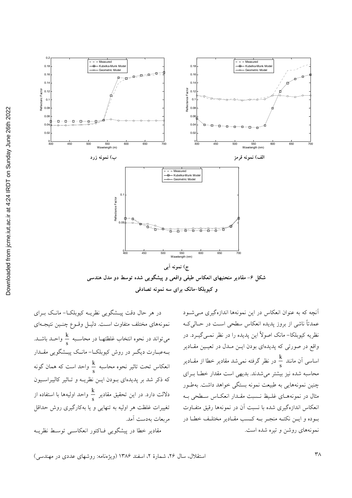

در هر حال دقت پیــشگویی نظریــه کیوبلکــا– مانــک بــرای نمونههای مختلف متفاوت است. دلیـل وقـوع چنـین نتیجـهای میتواند در نحوه انتخاب غلظتهـا در محاسـبه  $\frac{\mathrm{k}}{\mathrm{s}}$  واحـد باشــد. بـهعبـارت دیگــر در روش کیوبلکــا– مانــک پیــشگویی مقــدار انعکاس تحت تاثیر نحوه محاسبه  $\frac{\rm k}{\rm s}$  واحد است که همان گونه که ذکر شد بر پدیدهای بـودن ایــن نظریــه و تــاثیر کالیبراســیون دلالت دارد. در این تحقیق مقادیر  $\frac{\rm k}{{\rm s}}$  واحد اولیهها با استفاده از تغییرات غلظت هر اولیه به تنهایی و یا بهکارگیری روش حداقل مربعات بەدست آمد. مقادیر خطا در پیشگویی فـاکتور انعکاسـی توسـط نظریـه

آنچه که به عنوان انعکاس در این نمونهها اندازهگیری مـیشـود عمدتاً ناشی از بروز پدیده انعکاس سطحی است در حـالی کـه نظریه کیوبلکا- مانک اصولاً این پدیده را در نظر نمـی گیــرد. در واقع در صورتی که پدیدهای بودن ایــن مــدل در تعیــین مقــادیر اساسی اَن مانند  $\frac{k}{s}$  در نظر گرفته نمیشد مقادیر خطا از مقــادیر محاسبه شده نیز بیشتر میشدند. بدیهی است مقدار خطا بـرای چنین نمونههایی به طبیعت نمونه بستگی خواهد داشت. بهطـور مثال در نمونههـاي غلـيظ نـسبت مقـدار انعكـاس سـطحى بـه انعکاس اندازهگیری شده با نسبت آن در نمونهها رقیق متفاوت بـوده و ايــن نكتــه منجــر بــه كــسب مقــادير مختلــف خطــا در نمونههای روشن و تیره شده است.

600

Reflectance Factor

650

Kubelka-Mun<br>Geometric M

550<br>Iength (nm)

الف) نمونه قرمز

600

650

 $0.16$ 

 $0.1$ 

 $0.1$ 

 $\overline{0}$ .

 $0.08$ 

 $0.0$  $0.0$ 

 $0.02$ 

.<br>المسابق المسابقة المطاب

550<br>Wavelength (nm)

ج) نمونه آبي

و کیوبلکا-مانک برای سه نمونه تصادفی

600

650

500

450

450

Reflectance Factor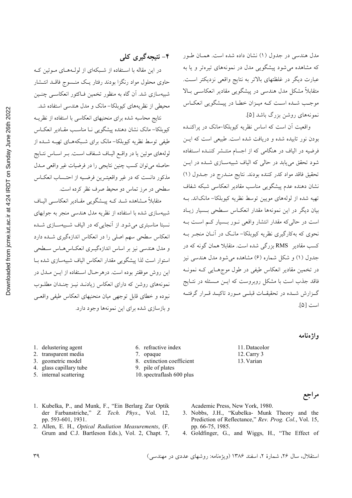مدل هندسی در جدول (۱) نشان داده شده است. همان طور که مشاهده می شود پیشگویی مدل در نمونههای تیرهتر و یا به عبارت ديگر در غلظتهاى بالاتر به نتايج واقعى نزديكتر است. متقابلاً مشکل مدل هندسی در پیشگویی مقادیر انعکاسبی بالا موجب شـده اسـت كـه ميـزان خطـا در پيـشگويي انعكـاس نمونههای روشن بزرگ باشد [۵].

واقعیت آن است که اساس نظریه کیوبلکا–مانک در پراکنــده بودن نور تابیده شده و دریافت شده است. طبیعی است که ایس فرضیه در الیاف در هنگامی که از اجسام منتـشر کننـده اسـتفاده شود تحقق می یابد در حالی که الیاف شبیهسازی شـده در ایـن تحقيق فاقد مواد كدر كننده بودند. نتايج منـدرج در جـدول (١) نشان دهنده عدم پیشگویی مناسب مقادیر انعکاسی شبکه شفاف تهيه شده از لولههاي مويين توسط نظريه كيوبلكا– مانكاند. بـه بیان دیگر در این نمونهها مقدار انعکـاس سـطحی بـسیار زیـاد است در حالی که مقدار انتشار واقعی نـور بـسیار کـم اسـت بـه نحوی که بهکارگیری نظریه کیوبلکا– مانــک در آنــان منجــر بــه کسب مقادیر RMS بزرگی شده است. متقابلا همان گونه که در جدول (۱) و شکل شماره (۶) مشاهده می شود مدل هندسی نیز در تخمین مقادیر انعکاس طیفی در طول موجهایی کـه نمونـه فاقد جذب است با مشکل روبروست که ایـن مـسئله در نتـایج گـزارش شــده در تحقیقــات قبلــی مــورد تاکیــد قــرار گرفتــه است [۵].

## ۴- نتیجهگیری کلی

در این مقاله با استفاده از شبکهای از لولـههـای مـوئین کـه حاوی محلول مواد رنگزا بودند رفتار یـک منـسوج فاقـد انتـشار شبیهسازی شد. آن گاه به منظور تخمین فـاکتور انعکاســی چنــین محیطی از نظریههای کیوبلکا- مانک و مدل هندسی استفاده شد.

نتايج محاسبه شده براى منحنيهاى انعكاسى با استفاده از نظريــه کیوبلکا– مانک نشان دهنده پیشگویی نـا مناسـب مقـادیر انعکـاس طیفی توسط نظریه کیوبلکا– مانک برای شـبکههــای تهیــه شــده از لولههای موئین یا در واقع الیـاف شـفاف اسـت. بـر اسـاس نتـایج حاصله مي توان كسب چنين نتايجي را در فرضيات غير واقعي مــدل مذکور دانست که در غیر واقعیتـرین فرضـیه از احتـساب انعکـاس سطحی در مرز تماس دو محیط صرف نظر کرده است.

متقابلاً مـشاهده شـد كـه پيـشگويى مقـادير انعكاسـي اليـاف شبیهسازی شده با استفاده از نظریه مدل هندسی منجر به جوابهای نسبتا مناسبتری می شود. از آنجایی که در الیاف شــبیهســازی شــده انعکاس سطحی سهم اصلی را در انعکاس اندازهگیری شـده دارد و مدل هندسی نیز بر اساس اندازهگیـری انعکـاسهـاس سـطحی استوار است لذا پیشگویی مقدار انعکاس الیاف شبیهسازی شده بـا این روش موفقتر بوده است. درهرحال استفاده از ایـن مـدل در نمونههای روشن که دارای انعکاس زیادنـد نیـز چنـدان مطلـوب نبوده و خطاي قابل توجهي ميان منحنيهاي انعكاس طيفي واقعبي و بازسازی شده برای این نمونهها وجود دارد.

1. Kubelka, P., and Munk, F., "Ein Berlarg Zur Optik

2. Allen, E. H., Optical Radiation Measurements, (F.

der Farbanstriche," Z. Tech. Phys., Vol. 12,

Grum and C.J. Bartleson Eds.), Vol. 2, Chapt. 7,

واژەنامە

مراجع

- 1. delustering agent
- 2. transparent media
- 3. geometric model
- 4. glass capillary tube
- 5. internal scattering

pp. 593-601, 1931.

- 6. refractive index
- 7. opaque
- 8. extinction coefficient
- 9. pile of plates
- 10. spectraflash 600 plus
	- Academic Press, New York, 1980.
	- 3. Nobbs, J.H., "Kubelka- Munk Theory and the Prediction of Reflectance," Rev. Prog. Col., Vol. 15, pp. 66-75, 1985.

11. Datacolor

12. Carry 3

13. Varian

4. Goldfinger, G., and Wiggs, H., "The Effect of